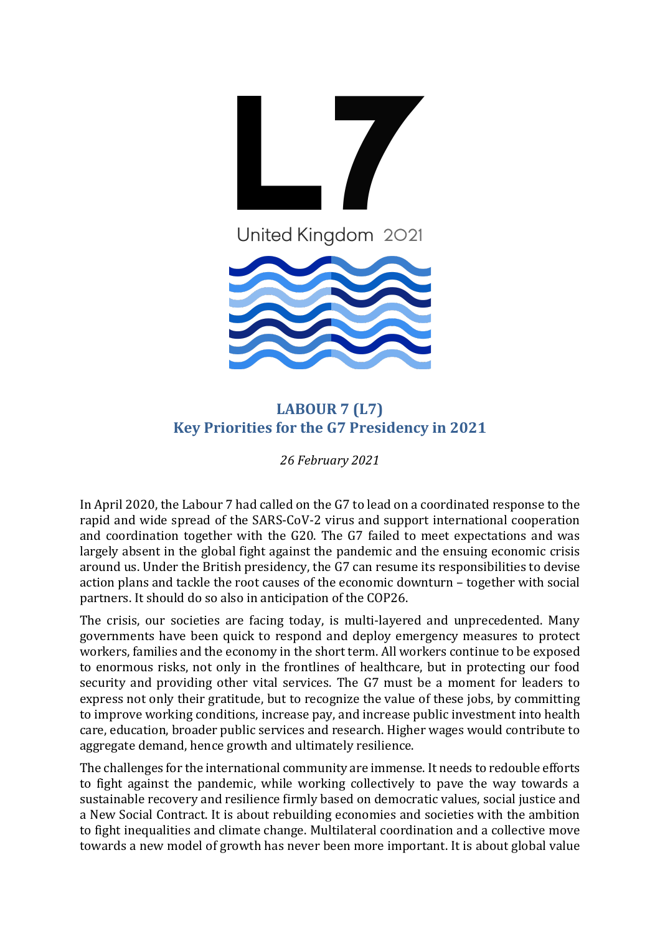

## **LABOUR 7 (L7) Key Priorities for the G7 Presidency in 2021**

*26 February 2021*

In April 2020, the Labour 7 had called on the G7 to lead on a coordinated response to the rapid and wide spread of the SARS-CoV-2 virus and support international cooperation and coordination together with the G20. The G7 failed to meet expectations and was largely absent in the global fight against the pandemic and the ensuing economic crisis around us. Under the British presidency, the G7 can resume its responsibilities to devise action plans and tackle the root causes of the economic downturn – together with social partners. It should do so also in anticipation of the COP26.

The crisis, our societies are facing today, is multi-layered and unprecedented. Many governments have been quick to respond and deploy emergency measures to protect workers, families and the economy in the short term. All workers continue to be exposed to enormous risks, not only in the frontlines of healthcare, but in protecting our food security and providing other vital services. The G7 must be a moment for leaders to express not only their gratitude, but to recognize the value of these jobs, by committing to improve working conditions, increase pay, and increase public investment into health care, education, broader public services and research. Higher wages would contribute to aggregate demand, hence growth and ultimately resilience.

The challenges for the international community are immense. It needs to redouble efforts to fight against the pandemic, while working collectively to pave the way towards a sustainable recovery and resilience firmly based on democratic values, social justice and a New Social Contract. It is about rebuilding economies and societies with the ambition to fight inequalities and climate change. Multilateral coordination and a collective move towards a new model of growth has never been more important. It is about global value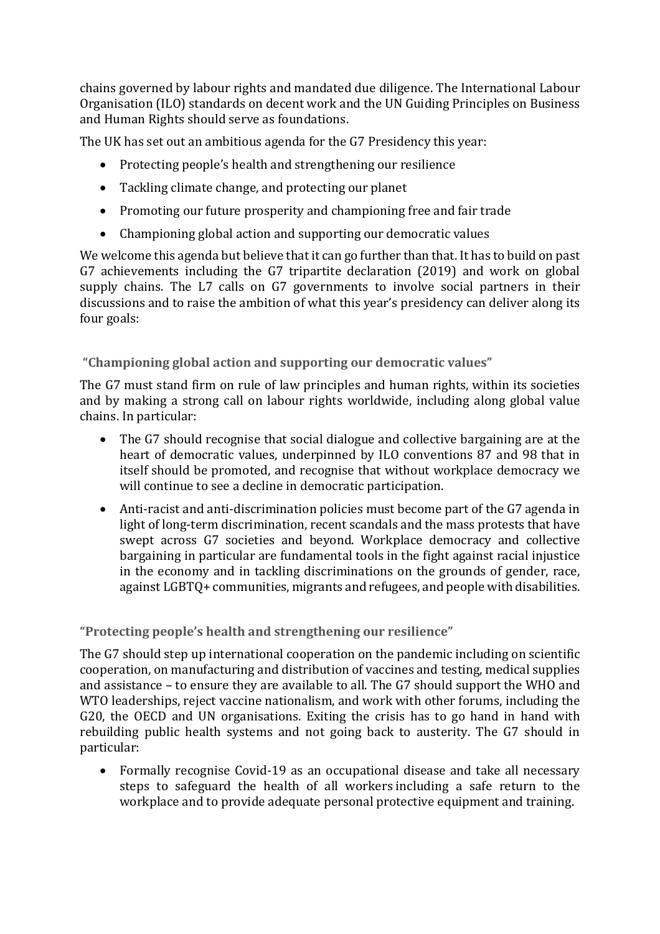chains governed by labour rights and mandated due diligence. The International Labour Organisation (ILO) standards on decent work and the UN Guiding Principles on Business and Human Rights should serve as foundations.

The UK has set out an ambitious agenda for the G7 Presidency this year:

- Protecting people's health and strengthening our resilience
- Tackling climate change, and protecting our planet
- Promoting our future prosperity and championing free and fair trade
- Championing global action and supporting our democratic values

We welcome this agenda but believe that it can go further than that. It has to build on past G7 achievements including the G7 tripartite declaration (2019) and work on global supply chains. The L7 calls on G7 governments to involve social partners in their discussions and to raise the ambition of what this year's presidency can deliver along its four goals:

**"Championing global action and supporting our democratic values"**

The G7 must stand firm on rule of law principles and human rights, within its societies and by making a strong call on labour rights worldwide, including along global value chains. In particular:

- The G7 should recognise that social dialogue and collective bargaining are at the heart of democratic values, underpinned by ILO conventions 87 and 98 that in itself should be promoted, and recognise that without workplace democracy we will continue to see a decline in democratic participation.
- Anti-racist and anti-discrimination policies must become part of the G7 agenda in light of long-term discrimination, recent scandals and the mass protests that have swept across G7 societies and beyond. Workplace democracy and collective bargaining in particular are fundamental tools in the fight against racial injustice in the economy and in tackling discriminations on the grounds of gender, race, against LGBTQ+ communities, migrants and refugees, and people with disabilities.

**"Protecting people's health and strengthening our resilience"**

The G7 should step up international cooperation on the pandemic including on scientific cooperation, on manufacturing and distribution of vaccines and testing, medical supplies and assistance – to ensure they are available to all. The G7 should support the WHO and WTO leaderships, reject vaccine nationalism, and work with other forums, including the G20, the OECD and UN organisations. Exiting the crisis has to go hand in hand with rebuilding public health systems and not going back to austerity. The G7 should in particular:

• Formally recognise Covid-19 as an occupational disease and take all necessary steps to safeguard the health of all workers including a safe return to the workplace and to provide adequate personal protective equipment and training.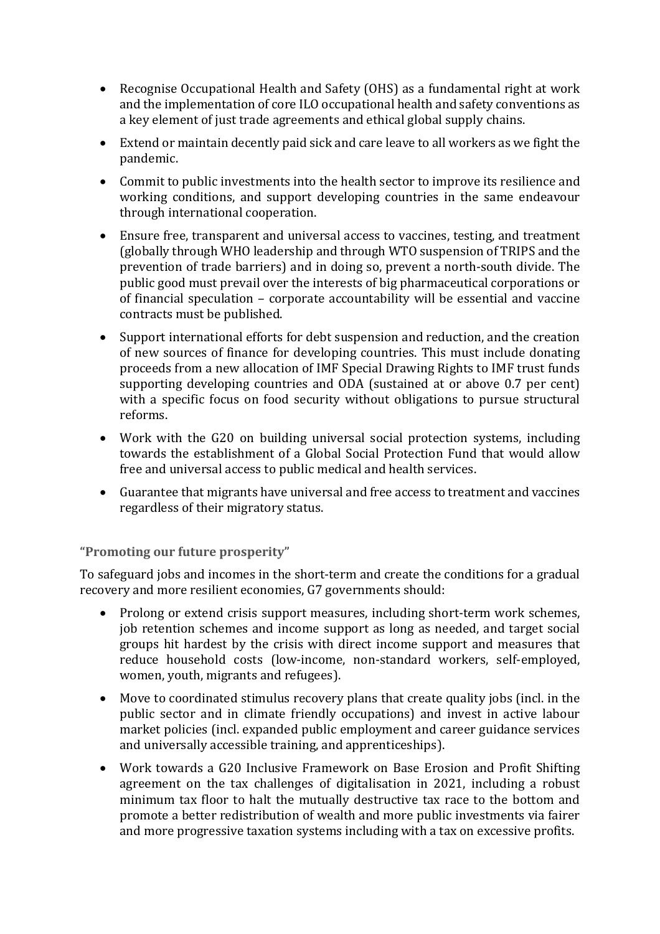- Recognise Occupational Health and Safety (OHS) as a fundamental right at work and the implementation of core ILO occupational health and safety conventions as a key element of just trade agreements and ethical global supply chains.
- Extend or maintain decently paid sick and care leave to all workers as we fight the pandemic.
- Commit to public investments into the health sector to improve its resilience and working conditions, and support developing countries in the same endeavour through international cooperation.
- Ensure free, transparent and universal access to vaccines, testing, and treatment (globally through WHO leadership and through WTO suspension of TRIPS and the prevention of trade barriers) and in doing so, prevent a north-south divide. The public good must prevail over the interests of big pharmaceutical corporations or of financial speculation – corporate accountability will be essential and vaccine contracts must be published.
- Support international efforts for debt suspension and reduction, and the creation of new sources of finance for developing countries. This must include donating proceeds from a new allocation of IMF Special Drawing Rights to IMF trust funds supporting developing countries and ODA (sustained at or above 0.7 per cent) with a specific focus on food security without obligations to pursue structural reforms.
- Work with the G20 on building universal social protection systems, including towards the establishment of a Global Social Protection Fund that would allow free and universal access to public medical and health services.
- Guarantee that migrants have universal and free access to treatment and vaccines regardless of their migratory status.

## **"Promoting our future prosperity"**

To safeguard jobs and incomes in the short-term and create the conditions for a gradual recovery and more resilient economies, G7 governments should:

- Prolong or extend crisis support measures, including short-term work schemes, job retention schemes and income support as long as needed, and target social groups hit hardest by the crisis with direct income support and measures that reduce household costs (low-income, non-standard workers, self-employed, women, youth, migrants and refugees).
- Move to coordinated stimulus recovery plans that create quality jobs (incl. in the public sector and in climate friendly occupations) and invest in active labour market policies (incl. expanded public employment and career guidance services and universally accessible training, and apprenticeships).
- Work towards a G20 Inclusive Framework on Base Erosion and Profit Shifting agreement on the tax challenges of digitalisation in 2021, including a robust minimum tax floor to halt the mutually destructive tax race to the bottom and promote a better redistribution of wealth and more public investments via fairer and more progressive taxation systems including with a tax on excessive profits.